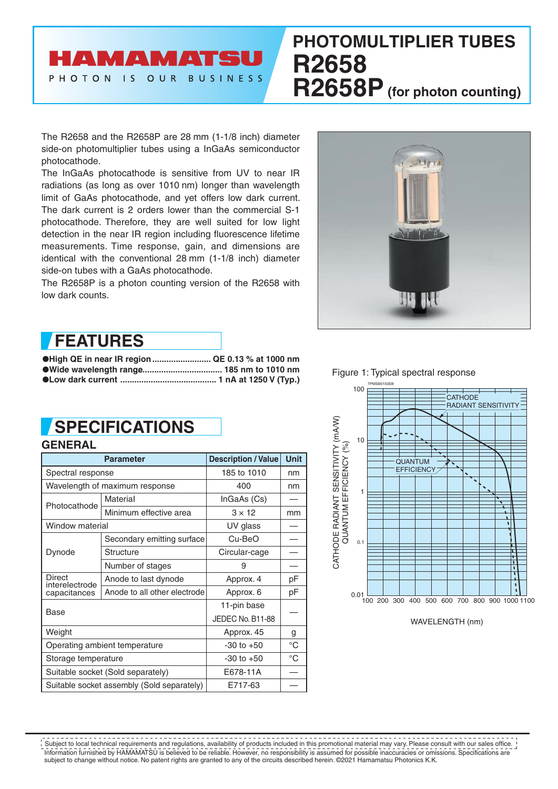# HAMAMATSU PHOTON IS OUR BUSINESS

# **PHOTOMULTIPLIER TUBES R2658 R2658P (for photon counting)**

The R2658 and the R2658P are 28 mm (1-1/8 inch) diameter side-on photomultiplier tubes using a InGaAs semiconductor photocathode.

The InGaAs photocathode is sensitive from UV to near IR radiations (as long as over 1010 nm) longer than wavelength limit of GaAs photocathode, and yet offers low dark current. The dark current is 2 orders lower than the commercial S-1 photocathode. Therefore, they are well suited for low light detection in the near IR region including fluorescence lifetime measurements. Time response, gain, and dimensions are identical with the conventional 28 mm (1-1/8 inch) diameter side-on tubes with a GaAs photocathode.

The R2658P is a photon counting version of the R2658 with low dark counts.



## **FEATURES**

●**High QE in near IR region ......................... QE 0.13 % at 1000 nm** ●**Wide wavelength range ....................................... 185 nm to 1010 nm** ●**Low dark current ......................................... 1 nA at 1250 V (Typ.)**

# **SPECIFICATIONS**

#### **GENERAL**

|                          | <b>Parameter</b>                           | <b>Description / Value</b> | <b>Unit</b> |  |
|--------------------------|--------------------------------------------|----------------------------|-------------|--|
| Spectral response        |                                            | 185 to 1010                | nm          |  |
|                          | Wavelength of maximum response             | 400                        | nm          |  |
| Photocathode             | Material                                   | InGaAs (Cs)                |             |  |
|                          | Minimum effective area                     | $3 \times 12$              | mm          |  |
| Window material          |                                            | UV glass                   |             |  |
|                          | Secondary emitting surface                 | Cu-BeO                     |             |  |
| Dynode                   | Structure                                  | Circular-cage              |             |  |
|                          | Number of stages                           | 9                          |             |  |
| Direct<br>interelectrode | Anode to last dynode                       | Approx. 4                  | рF          |  |
| capacitances             | Anode to all other electrode               | Approx. 6                  | рF          |  |
| Base                     |                                            | 11-pin base                |             |  |
|                          |                                            | JEDEC No. B11-88           |             |  |
| Weight                   |                                            | Approx. 45                 | g           |  |
|                          | Operating ambient temperature              | $-30$ to $+50$             | °C          |  |
| Storage temperature      |                                            | $-30$ to $+50$             | $^{\circ}C$ |  |
|                          | Suitable socket (Sold separately)          | E678-11A                   |             |  |
|                          | Suitable socket assembly (Sold separately) | E717-63                    |             |  |

Figure 1: Typical spectral response



Information furnished by HAMAMATSU is believed to be reliable. However, no responsibility is assumed for possible inaccuracies or omissions. Specifications are subject to change without notice. No patent rights are granted to any of the circuits described herein. ©2021 Hamamatsu Photonics K.K. Subject to local technical requirements and regulations, availability of products included in this promotional material may vary. Please consult with our sales office.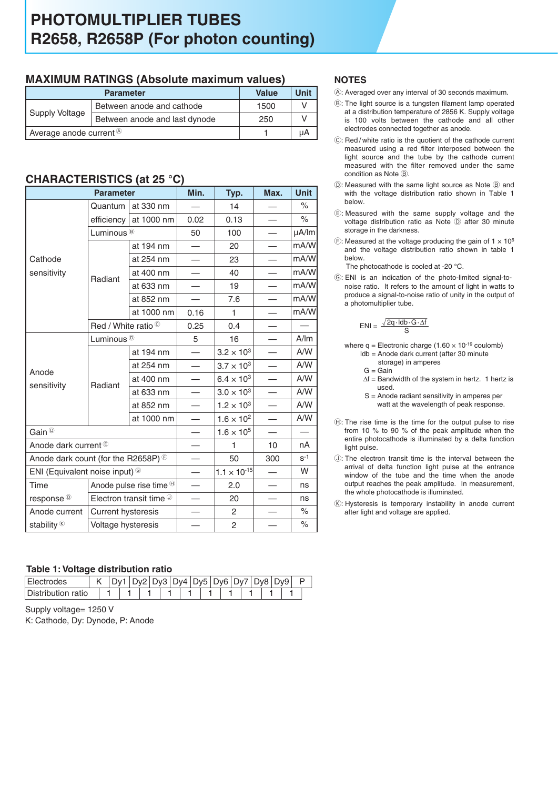### **MAXIMUM RATINGS (Absolute maximum values)**

|                                      | <b>Value</b>                  | Unit |  |
|--------------------------------------|-------------------------------|------|--|
| Supply Voltage                       | Between anode and cathode     | 1500 |  |
|                                      | Between anode and last dynode | 250  |  |
| Average anode current $\circledcirc$ |                               | uА   |  |

### **CHARACTERISTICS (at 25 °C)**

|                                           | <b>Parameter</b>                 |                                    | Min. | Typ.                  | Max. | <b>Unit</b> |
|-------------------------------------------|----------------------------------|------------------------------------|------|-----------------------|------|-------------|
|                                           | Quantum                          | at 330 nm                          |      | 14                    |      | $\%$        |
|                                           | efficiency                       | at 1000 nm                         | 0.02 | 0.13                  |      | $\%$        |
|                                           | Luminous <sup>®</sup>            |                                    | 50   | 100                   |      | µA/lm       |
|                                           |                                  | at 194 nm                          |      | 20                    |      | mA/W        |
| Cathode                                   |                                  | at 254 nm                          |      | 23                    |      | mA/W        |
| sensitivity                               | Radiant                          | at 400 nm                          |      | 40                    |      | mA/W        |
|                                           |                                  | at 633 nm                          |      | 19                    |      | mA/W        |
|                                           |                                  | at 852 nm                          |      | 7.6                   |      | mA/W        |
|                                           |                                  | at 1000 nm                         | 0.16 | 1                     |      | mA/W        |
|                                           | Red / White ratio ©              |                                    | 0.25 | 0.4                   |      |             |
| Anode<br>sensitivity                      | Luminous <sup><sup>®</sup></sup> |                                    | 5    | 16                    |      | A/m         |
|                                           | Radiant                          | at 194 nm                          |      | $3.2 \times 10^{3}$   |      | A/W         |
|                                           |                                  | at 254 nm                          |      | $3.7 \times 10^{3}$   |      | A/W         |
|                                           |                                  | at 400 nm                          |      | $6.4 \times 10^{3}$   |      | A/W         |
|                                           |                                  | at 633 nm                          |      | $3.0 \times 10^{3}$   |      | A/W         |
|                                           |                                  | at 852 nm                          |      | $1.2 \times 10^{3}$   |      | A/W         |
|                                           |                                  | at 1000 nm                         |      | $1.6 \times 10^{2}$   |      | A/W         |
| Gain <sup><sup>®</sup></sup>              |                                  |                                    |      | $1.6 \times 10^{5}$   |      |             |
| Anode dark current <sup>®</sup>           |                                  |                                    |      | 1                     | 10   | nA          |
| Anode dark count (for the R2658P) $\odot$ |                                  | 50                                 | 300  | $S-1$                 |      |             |
| ENI (Equivalent noise input) <sup>©</sup> |                                  |                                    |      | $1.1 \times 10^{-15}$ |      | W           |
| Time                                      |                                  | Anode pulse rise time <sup>®</sup> |      | 2.0                   |      | ns          |
| response <sup><sup>®</sup></sup>          |                                  | Electron transit time $\mathbb O$  |      | 20                    |      | ns          |
| Anode current                             | <b>Current hysteresis</b>        |                                    |      | 2                     |      | $\%$        |
| stability $\&$                            | Voltage hysteresis               |                                    |      | 2                     |      | $\%$        |

#### **Table 1: Voltage distribution ratio**

| Electrodes         |  |  | Dy3   Dy4   Dy5   Dy6   Dy7 |  |  |  |  | 2v8   Dv9 |  |
|--------------------|--|--|-----------------------------|--|--|--|--|-----------|--|
| Distribution ratio |  |  |                             |  |  |  |  |           |  |

Supply voltage= 1250 V K: Cathode, Dy: Dynode, P: Anode

#### **NOTES**

- A: Averaged over any interval of 30 seconds maximum.
- B: The light source is a tungsten filament lamp operated at a distribution temperature of 2856 K. Supply voltage is 100 volts between the cathode and all other electrodes connected together as anode.
- C: Red / white ratio is the quotient of the cathode current measured using a red filter interposed between the light source and the tube by the cathode current measured with the filter removed under the same condition as Note ®.
- $(D)$ : Measured with the same light source as Note  $(B)$  and with the voltage distribution ratio shown in Table 1 below.
- E: Measured with the same supply voltage and the voltage distribution ratio as Note (D) after 30 minute storage in the darkness.
- $E$ : Measured at the voltage producing the gain of 1  $\times$  10<sup>6</sup> and the voltage distribution ratio shown in table 1 below.

The photocathode is cooled at -20 °C.

G: ENI is an indication of the photo-limited signal-tonoise ratio. It refers to the amount of light in watts to produce a signal-to-noise ratio of unity in the output of a photomultiplier tube.

$$
ENI = \frac{\sqrt{2q \cdot \text{Idb} \cdot G \cdot \Delta f}}{S}
$$

- where  $q =$  Electronic charge (1.60  $\times$  10<sup>-19</sup> coulomb) ldb = Anode dark current (after 30 minute
	- storage) in amperes
	- $G =$ Gain
	- $\Delta f$  = Bandwidth of the system in hertz. 1 hertz is used.
	- S = Anode radiant sensitivity in amperes per watt at the wavelength of peak response.
- $H$ : The rise time is the time for the output pulse to rise from 10 % to 90 % of the peak amplitude when the entire photocathode is illuminated by a delta function light pulse.
- J: The electron transit time is the interval between the arrival of delta function light pulse at the entrance window of the tube and the time when the anode output reaches the peak amplitude. In measurement, the whole photocathode is illuminated.
- $R$ : Hysteresis is temporary instability in anode current after light and voltage are applied.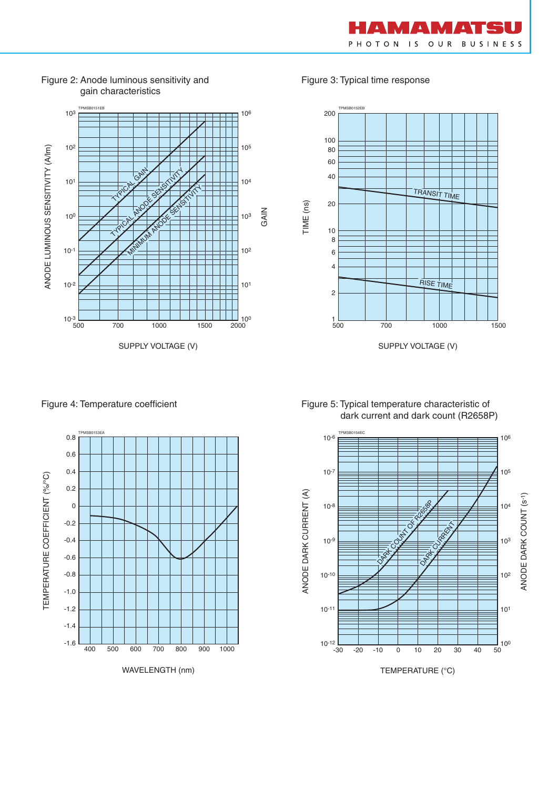



Figure 2: Anode luminous sensitivity and gain characteristics

Figure 4: Temperature coefficient



WAVELENGTH (nm)

Figure 3: Typical time response



Figure 5: Typical temperature characteristic of dark current and dark count (R2658P)



TEMPERATURE (°C)